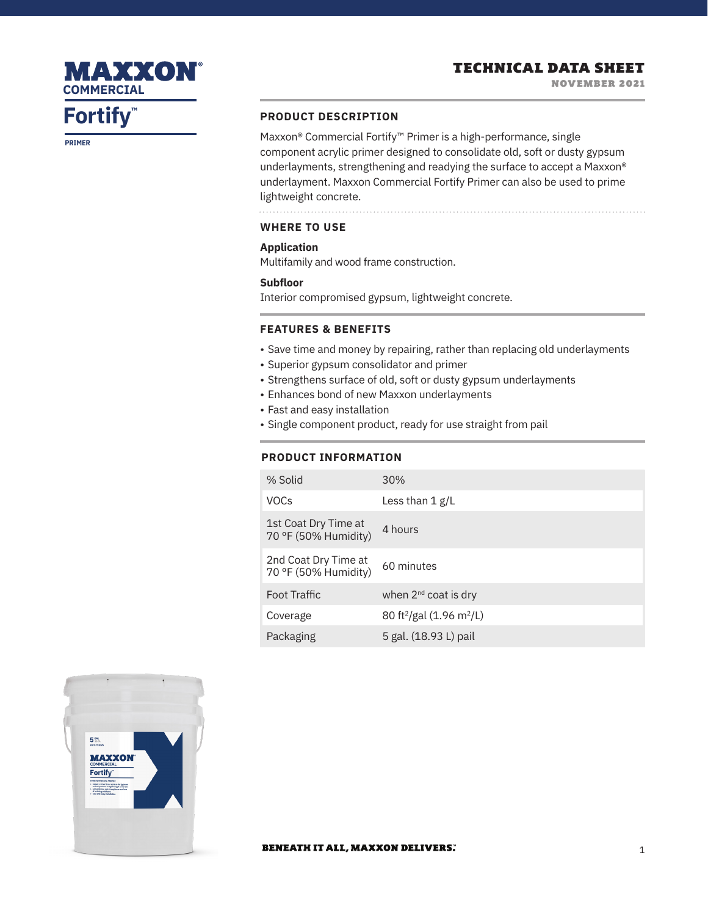### TECHNICAL DATA SHEET

### MAXXON **COMMERCIAL**

**Fortify™**

**PRIMER**

### **PRODUCT DESCRIPTION**

Maxxon® Commercial Fortify™ Primer is a high-performance, single component acrylic primer designed to consolidate old, soft or dusty gypsum underlayments, strengthening and readying the surface to accept a Maxxon® underlayment. Maxxon Commercial Fortify Primer can also be used to prime lightweight concrete.

**WHERE TO USE**

### **Application**

Multifamily and wood frame construction.

### **Subfloor**

Interior compromised gypsum, lightweight concrete.

### **FEATURES & BENEFITS**

- Save time and money by repairing, rather than replacing old underlayments
- Superior gypsum consolidator and primer
- Strengthens surface of old, soft or dusty gypsum underlayments
- Enhances bond of new Maxxon underlayments
- Fast and easy installation
- Single component product, ready for use straight from pail

### **PRODUCT INFORMATION**

| % Solid                                      | 30%                                              |
|----------------------------------------------|--------------------------------------------------|
| <b>VOCs</b>                                  | Less than $1$ g/L                                |
| 1st Coat Dry Time at<br>70 °F (50% Humidity) | 4 hours                                          |
| 2nd Coat Dry Time at<br>70 °F (50% Humidity) | 60 minutes                                       |
| Foot Traffic                                 | when 2 <sup>nd</sup> coat is dry                 |
| Coverage                                     | 80 ft <sup>2</sup> /gal (1.96 m <sup>2</sup> /L) |
| Packaging                                    | 5 gal. (18.93 L) pail                            |

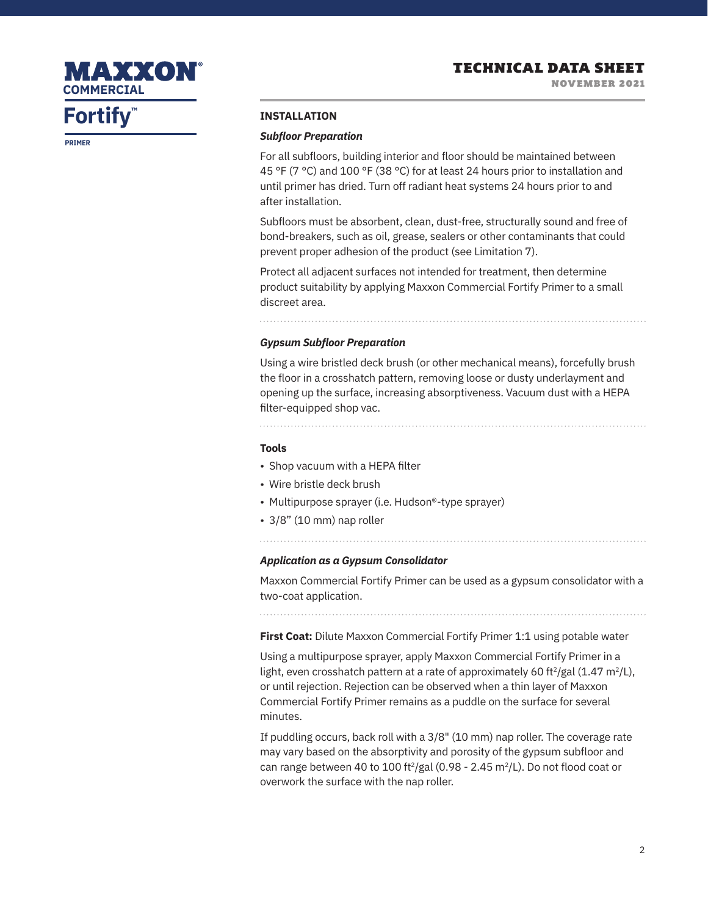### TECHNICAL DATA SHEET NOVEMBER 2021

MAXXON **COMMERCIAL**

## **Fortify™**

**PRIMER**

#### **INSTALLATION**

### *Subfloor Preparation*

For all subfloors, building interior and floor should be maintained between 45 °F (7 °C) and 100 °F (38 °C) for at least 24 hours prior to installation and until primer has dried. Turn off radiant heat systems 24 hours prior to and after installation.

Subfloors must be absorbent, clean, dust-free, structurally sound and free of bond-breakers, such as oil, grease, sealers or other contaminants that could prevent proper adhesion of the product (see Limitation 7).

Protect all adjacent surfaces not intended for treatment, then determine product suitability by applying Maxxon Commercial Fortify Primer to a small discreet area.

### *Gypsum Subfloor Preparation*

Using a wire bristled deck brush (or other mechanical means), forcefully brush the floor in a crosshatch pattern, removing loose or dusty underlayment and opening up the surface, increasing absorptiveness. Vacuum dust with a HEPA filter-equipped shop vac.

**Tools**

- Shop vacuum with a HEPA filter
- Wire bristle deck brush
- Multipurpose sprayer (i.e. Hudson®-type sprayer)
- 3/8" (10 mm) nap roller
- 

### *Application as a Gypsum Consolidator*

Maxxon Commercial Fortify Primer can be used as a gypsum consolidator with a two-coat application.

**First Coat:** Dilute Maxxon Commercial Fortify Primer 1:1 using potable water

Using a multipurpose sprayer, apply Maxxon Commercial Fortify Primer in a light, even crosshatch pattern at a rate of approximately 60 ft<sup>2</sup>/gal  $(1.47 \text{ m}^2/\text{l})$ , or until rejection. Rejection can be observed when a thin layer of Maxxon Commercial Fortify Primer remains as a puddle on the surface for several minutes.

If puddling occurs, back roll with a 3/8" (10 mm) nap roller. The coverage rate may vary based on the absorptivity and porosity of the gypsum subfloor and can range between 40 to 100 ft<sup>2</sup>/gal (0.98 - 2.45 m<sup>2</sup>/L). Do not flood coat or overwork the surface with the nap roller.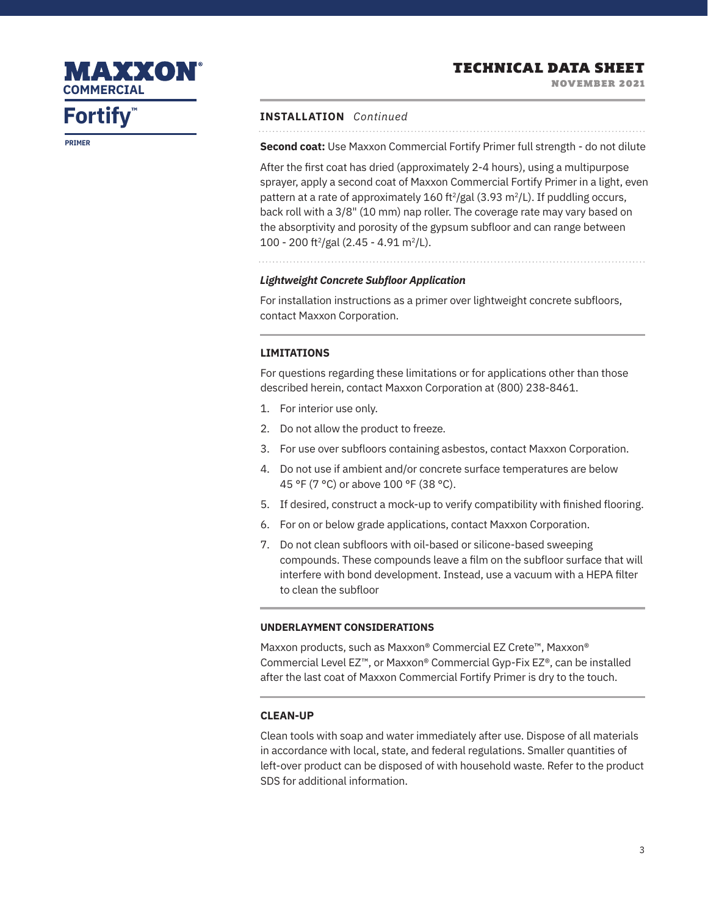### TECHNICAL DATA SHEET

NOVEMBER 2021

### MAXXON **COMMERCIAL**

# **Fortify™**

**PRIMER**

### **INSTALLATION** *Continued*

**Second coat:** Use Maxxon Commercial Fortify Primer full strength - do not dilute

After the first coat has dried (approximately 2-4 hours), using a multipurpose sprayer, apply a second coat of Maxxon Commercial Fortify Primer in a light, even pattern at a rate of approximately 160 ft<sup>2</sup>/gal (3.93 m<sup>2</sup>/L). If puddling occurs, back roll with a 3/8" (10 mm) nap roller. The coverage rate may vary based on the absorptivity and porosity of the gypsum subfloor and can range between 100 - 200 ft<sup>2</sup>/gal (2.45 - 4.91 m<sup>2</sup>/L).

### *Lightweight Concrete Subfloor Application*

For installation instructions as a primer over lightweight concrete subfloors, contact Maxxon Corporation.

### **LIMITATIONS**

For questions regarding these limitations or for applications other than those described herein, contact Maxxon Corporation at (800) 238-8461.

- 1. For interior use only.
- 2. Do not allow the product to freeze.
- 3. For use over subfloors containing asbestos, contact Maxxon Corporation.
- 4. Do not use if ambient and/or concrete surface temperatures are below 45 °F (7 °C) or above 100 °F (38 °C).
- 5. If desired, construct a mock-up to verify compatibility with finished flooring.
- 6. For on or below grade applications, contact Maxxon Corporation.
- 7. Do not clean subfloors with oil-based or silicone-based sweeping compounds. These compounds leave a film on the subfloor surface that will interfere with bond development. Instead, use a vacuum with a HEPA filter to clean the subfloor

### **UNDERLAYMENT CONSIDERATIONS**

Maxxon products, such as Maxxon® Commercial EZ Crete™, Maxxon® Commercial Level EZ™, or Maxxon® Commercial Gyp-Fix EZ®, can be installed after the last coat of Maxxon Commercial Fortify Primer is dry to the touch.

### **CLEAN-UP**

Clean tools with soap and water immediately after use. Dispose of all materials in accordance with local, state, and federal regulations. Smaller quantities of left-over product can be disposed of with household waste. Refer to the product SDS for additional information.